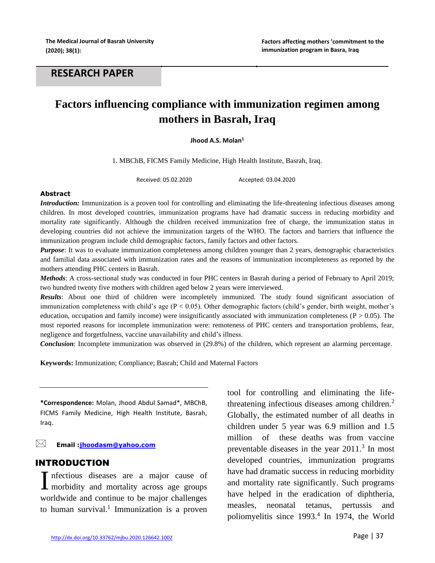## **RESEARCH PAPER**

# **Factors influencing compliance with immunization regimen among mothers in Basrah, Iraq**

#### **Jhood A.S. Molan<sup>1</sup>**

1. MBChB, FICMS Family Medicine, High Health Institute, Basrah, Iraq.

Received: 05.02.2020 Accepted: 03.04.2020

#### **Abstract**

*Introduction:* Immunization is a proven tool for controlling and eliminating the life-threatening infectious diseases among children. In most developed countries, immunization programs have had dramatic success in reducing morbidity and mortality rate significantly. Although the children received immunization free of charge, the immunization status in developing countries did not achieve the immunization targets of the WHO. The factors and barriers that influence the immunization program include child demographic factors, family factors and other factors.

*Purpose*: It was to evaluate immunization completeness among children younger than 2 years, demographic characteristics and familial data associated with immunization rates and the reasons of immunization incompleteness as reported by the mothers attending PHC centers in Basrah.

*Methods*: A cross-sectional study was conducted in four PHC centers in Basrah during a period of February to April 2019; two hundred twenty five mothers with children aged below 2 years were interviewed.

*Results*: About one third of children were incompletely immunized. The study found significant association of immunization completeness with child's age ( $P < 0.05$ ). Other demographic factors (child's gender, birth weight, mother's education, occupation and family income) were insignificantly associated with immunization completeness ( $P > 0.05$ ). The most reported reasons for incomplete immunization were: remoteness of PHC centers and transportation problems, fear, negligence and forgetfulness, vaccine unavailability and child's illness.

*Conclusion*: Incomplete immunization was observed in (29.8%) of the children, which represent an alarming percentage.

**Keywords:** Immunization; Compliance; Basrah; Child and Maternal Factors

**\*Correspondence:** Molan, Jhood Abdul Samad\*, MBChB, FICMS Family Medicine, High Health Institute, Basrah, Iraq.

**Email [:jhoodasm@yahoo.com](mailto:jhoodasm@yahoo.com)**

### INTRODUCTION

Infectious diseases are a major cause of Infectious diseases are a major cause of morbidity and mortality across age groups worldwide and continue to be major challenges to human survival.<sup>1</sup> Immunization is a proven

tool for controlling and eliminating the lifethreatening infectious diseases among children. $<sup>2</sup>$ </sup> Globally, the estimated number of all deaths in children under 5 year was 6.9 million and 1.5 million of these deaths was from vaccine preventable diseases in the year  $2011$ .<sup>3</sup> In most developed countries, immunization programs have had dramatic success in reducing morbidity and mortality rate significantly. Such programs have helped in the eradication of diphtheria, measles, neonatal tetanus, pertussis and poliomyelitis since 1993.<sup>4</sup> In 1974, the World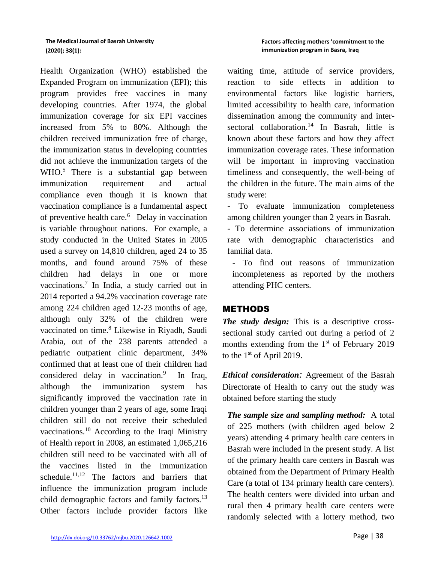Health Organization (WHO) established the Expanded Program on immunization (EPI); this program provides free vaccines in many developing countries. After 1974, the global immunization coverage for six EPI vaccines increased from 5% to 80%. Although the children received immunization free of charge, the immunization status in developing countries did not achieve the immunization targets of the WHO.<sup>5</sup> There is a substantial gap between immunization requirement and actual compliance even though it is known that vaccination compliance is a fundamental aspect of preventive health care.<sup>6</sup> Delay in vaccination is variable throughout nations. For example, a study conducted in the United States in 2005 used a survey on 14,810 children, aged 24 to 35 months, and found around 75% of these children had delays in one or more vaccinations.<sup>7</sup> In India, a study carried out in 2014 reported a 94.2% vaccination coverage rate among 224 children aged 12-23 months of age, although only 32% of the children were vaccinated on time.<sup>8</sup> Likewise in Riyadh, Saudi Arabia, out of the 238 parents attended a pediatric outpatient clinic department, 34% confirmed that at least one of their children had considered delay in vaccination. $9$  In Iraq, although the immunization system has significantly improved the vaccination rate in children younger than 2 years of age, some Iraqi children still do not receive their scheduled vaccinations.<sup>10</sup> According to the Iraqi Ministry of Health report in 2008, an estimated 1,065,216 children still need to be vaccinated with all of the vaccines listed in the immunization schedule.<sup>11,12</sup> The factors and barriers that influence the immunization program include child demographic factors and family factors.<sup>13</sup> Other factors include provider factors like

waiting time, attitude of service providers, reaction to side effects in addition to environmental factors like logistic barriers, limited accessibility to health care, information dissemination among the community and intersectoral collaboration.<sup>14</sup> In Basrah, little is known about these factors and how they affect immunization coverage rates. These information will be important in improving vaccination timeliness and consequently, the well-being of the children in the future. The main aims of the study were:

- To evaluate immunization completeness among children younger than 2 years in Basrah.

- To determine associations of immunization rate with demographic characteristics and familial data.

- To find out reasons of immunization incompleteness as reported by the mothers attending PHC centers.

## METHODS

*The study design:* This is a descriptive crosssectional study carried out during a period of 2 months extending from the  $1<sup>st</sup>$  of February 2019 to the  $1<sup>st</sup>$  of April 2019.

*Ethical consideration:* Agreement of the Basrah Directorate of Health to carry out the study was obtained before starting the study

*The sample size and sampling method:* A total of 225 mothers (with children aged below 2 years) attending 4 primary health care centers in Basrah were included in the present study. A list of the primary health care centers in Basrah was obtained from the Department of Primary Health Care (a total of 134 primary health care centers). The health centers were divided into urban and rural then 4 primary health care centers were randomly selected with a lottery method, two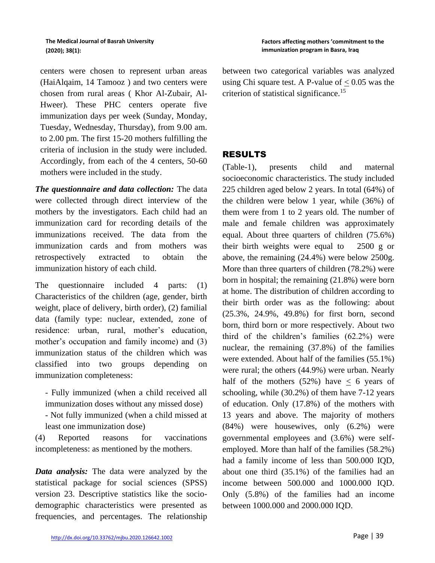centers were chosen to represent urban areas (HaiAlqaim, 14 Tamooz ) and two centers were chosen from rural areas ( Khor Al-Zubair, Al-Hweer). These PHC centers operate five immunization days per week (Sunday, Monday, Tuesday, Wednesday, Thursday), from 9.00 am. to 2.00 pm. The first 15-20 mothers fulfilling the criteria of inclusion in the study were included. Accordingly, from each of the 4 centers, 50-60 mothers were included in the study.

*The questionnaire and data collection:* The data were collected through direct interview of the mothers by the investigators. Each child had an immunization card for recording details of the immunizations received. The data from the immunization cards and from mothers was retrospectively extracted to obtain the immunization history of each child.

The questionnaire included 4 parts: (1) Characteristics of the children (age, gender, birth weight, place of delivery, birth order), (2) familial data (family type: nuclear, extended, zone of residence: urban, rural, mother's education, mother's occupation and family income) and (3) immunization status of the children which was classified into two groups depending on immunization completeness:

- Fully immunized (when a child received all immunization doses without any missed dose)

- Not fully immunized (when a child missed at least one immunization dose)

(4) Reported reasons for vaccinations incompleteness: as mentioned by the mothers.

*Data analysis:* The data were analyzed by the statistical package for social sciences (SPSS) version 23. Descriptive statistics like the sociodemographic characteristics were presented as frequencies, and percentages. The relationship between two categorical variables was analyzed using Chi square test. A P-value of  $< 0.05$  was the criterion of statistical significance.<sup>15</sup>

## RESULTS

(Table-1), presents child and maternal socioeconomic characteristics. The study included 225 children aged below 2 years. In total (64%) of the children were below 1 year, while (36%) of them were from 1 to 2 years old. The number of male and female children was approximately equal. About three quarters of children (75.6%) their birth weights were equal to 2500 g or above, the remaining (24.4%) were below 2500g. More than three quarters of children (78.2%) were born in hospital; the remaining (21.8%) were born at home. The distribution of children according to their birth order was as the following: about (25.3%, 24.9%, 49.8%) for first born, second born, third born or more respectively. About two third of the children's families (62.2%) were nuclear, the remaining (37.8%) of the families were extended. About half of the families (55.1%) were rural; the others (44.9%) were urban. Nearly half of the mothers (52%) have  $\leq$  6 years of schooling, while (30.2%) of them have 7-12 years of education. Only (17.8%) of the mothers with 13 years and above. The majority of mothers (84%) were housewives, only (6.2%) were governmental employees and (3.6%) were selfemployed. More than half of the families (58.2%) had a family income of less than 500.000 IQD, about one third (35.1%) of the families had an income between 500.000 and 1000.000 IQD. Only (5.8%) of the families had an income between 1000.000 and 2000.000 IQD.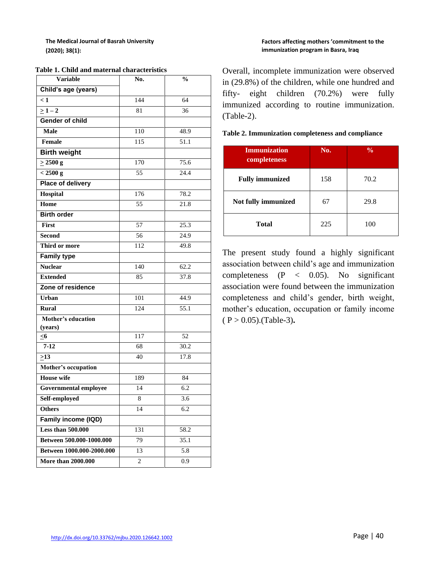| <b>Variable</b>              | No. | $\frac{0}{0}$ |
|------------------------------|-----|---------------|
| Child's age (years)          |     |               |
| $\leq 1$                     | 144 | 64            |
| $>1-2$                       | 81  | 36            |
| <b>Gender of child</b>       |     |               |
| <b>Male</b>                  | 110 | 48.9          |
| Female                       | 115 | 51.1          |
| <b>Birth weight</b>          |     |               |
| $\geq$ 2500 g                | 170 | 75.6          |
| < 2500 g                     | 55  | 24.4          |
| Place of delivery            |     |               |
| Hospital                     | 176 | 78.2          |
| Home                         | 55  | 21.8          |
| <b>Birth order</b>           |     |               |
| First                        | 57  | 25.3          |
| <b>Second</b>                | 56  | 24.9          |
| Third or more                | 112 | 49.8          |
| <b>Family type</b>           |     |               |
| <b>Nuclear</b>               | 140 | 62.2          |
| <b>Extended</b>              | 85  | 37.8          |
| Zone of residence            |     |               |
| Urban                        | 101 | 44.9          |
| <b>Rural</b>                 | 124 | 55.1          |
| Mother's education           |     |               |
| (years)                      |     |               |
| $\leq 6$                     | 117 | 52            |
| $7 - 12$                     | 68  | 30.2          |
| $\geq$ 13                    | 40  | 17.8          |
| Mother's occupation          |     |               |
| <b>House</b> wife            | 189 | 84            |
| <b>Governmental employee</b> | 14  | 6.2           |
| Self-employed                | 8   | 3.6           |
| <b>Others</b>                | 14  | 6.2           |
| Family income (IQD)          |     |               |
| <b>Less than 500.000</b>     | 131 | 58.2          |
| Between 500.000-1000.000     | 79  | 35.1          |
| Between 1000.000-2000.000    | 13  | 5.8           |
| <b>More than 2000.000</b>    | 2   | 0.9           |

**Table 1. Child and maternal characteristics**

#### **Factors affecting mothers 'commitment to the immunization program in Basra, Iraq**

Overall, incomplete immunization were observed in (29.8%) of the children, while one hundred and fifty- eight children (70.2%) were fully immunized according to routine immunization. (Table-2).

| <b>Immunization</b><br>completeness | No. | $\frac{0}{0}$ |
|-------------------------------------|-----|---------------|
| <b>Fully immunized</b>              | 158 | 70.2          |
| Not fully immunized                 | 67  | 29.8          |
| <b>Total</b>                        | 225 | 100           |

#### **Table 2. Immunization completeness and compliance**

The present study found a highly significant association between child's age and immunization completeness  $(P < 0.05)$ . No significant association were found between the immunization completeness and child's gender, birth weight, mother's education, occupation or family income ( P > 0.05).(Table-3)**.**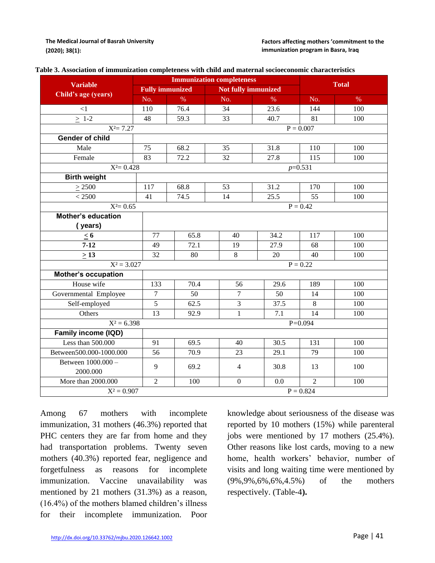|  | Table 3. Association of immunization completeness with child and maternal socioeconomic characteristics |
|--|---------------------------------------------------------------------------------------------------------|
|--|---------------------------------------------------------------------------------------------------------|

|                                | <b>Immunization completeness</b> |                        |                  |                     |                |              |  |
|--------------------------------|----------------------------------|------------------------|------------------|---------------------|----------------|--------------|--|
| <b>Variable</b>                |                                  | <b>Fully immunized</b> |                  | Not fully immunized |                | <b>Total</b> |  |
| Child's age (years)            | No.                              | $\%$                   | No.              | $\%$                | No.            | $\%$         |  |
| <1                             | 110                              | 76.4                   | 34               | 23.6                | 144            | 100          |  |
| $\geq 1-2$                     | 48                               | 59.3                   | 33               | 40.7                | 81             | 100          |  |
| $X^2 = 7.27$                   |                                  |                        |                  |                     | $P = 0.007$    |              |  |
| <b>Gender of child</b>         |                                  |                        |                  |                     |                |              |  |
| Male                           | 75                               | 68.2                   | 35               | 31.8                | 110            | 100          |  |
| Female                         | 83                               | 72.2                   | 32               | 27.8                | 115            | 100          |  |
| $X^2 = 0.428$                  |                                  |                        |                  |                     | $p=0.531$      |              |  |
| <b>Birth weight</b>            |                                  |                        |                  |                     |                |              |  |
| $\geq 2500$                    | 117                              | 68.8                   | 53               | 31.2                | 170            | 100          |  |
| < 2500                         | 41                               | 74.5                   | 14               | 25.5                | 55             | 100          |  |
| $X^2 = 0.65$                   |                                  | $P = 0.42$             |                  |                     |                |              |  |
| Mother's education             |                                  |                        |                  |                     |                |              |  |
| (years)                        |                                  |                        |                  |                     |                |              |  |
| $\leq 6$                       | 77                               | 65.8                   | 40               | 34.2                | 117            | 100          |  |
| $7 - 12$                       | 49                               | 72.1                   | 19               | 27.9                | 68             | 100          |  |
| $\geq$ 13                      | 32                               | 80                     | 8                | 20                  | 40             | 100          |  |
| $X^2 = 3.027$                  |                                  | $P = 0.22$             |                  |                     |                |              |  |
| Mother's occupation            |                                  |                        |                  |                     |                |              |  |
| House wife                     | 133                              | 70.4                   | 56               | 29.6                | 189            | 100          |  |
| Governmental Employee          | 7                                | 50                     | 7                | 50                  | 14             | 100          |  |
| Self-employed                  | $\overline{5}$                   | 62.5                   | $\overline{3}$   | 37.5                | 8              | 100          |  |
| Others                         | 13                               | 92.9                   | $\mathbf{1}$     | 7.1                 | 14             | 100          |  |
| $X^2 = 6.398$                  |                                  | $P = 0.094$            |                  |                     |                |              |  |
| Family income (IQD)            |                                  |                        |                  |                     |                |              |  |
| Less than 500.000              | 91                               | 69.5                   | 40               | 30.5                | 131            | 100          |  |
| Between500.000-1000.000        | 56                               | 70.9                   | 23               | 29.1                | 79             | 100          |  |
| Between 1000.000 -<br>2000.000 | 9                                | 69.2                   | $\overline{4}$   | 30.8                | 13             | 100          |  |
| More than 2000.000             | $\overline{2}$                   | 100                    | $\boldsymbol{0}$ | 0.0                 | $\overline{2}$ | 100          |  |
| $X^2 = 0.907$                  |                                  | $P = 0.824$            |                  |                     |                |              |  |

Among 67 mothers with incomplete immunization, 31 mothers (46.3%) reported that PHC centers they are far from home and they had transportation problems. Twenty seven mothers (40.3%) reported fear, negligence and forgetfulness as reasons for incomplete immunization. Vaccine unavailability was mentioned by 21 mothers (31.3%) as a reason, (16.4%) of the mothers blamed children's illness for their incomplete immunization. Poor

knowledge about seriousness of the disease was reported by 10 mothers (15%) while parenteral jobs were mentioned by 17 mothers (25.4%). Other reasons like lost cards, moving to a new home, health workers' behavior, number of visits and long waiting time were mentioned by (9%,9%,6%,6%,4.5%) of the mothers respectively. (Table-4**).**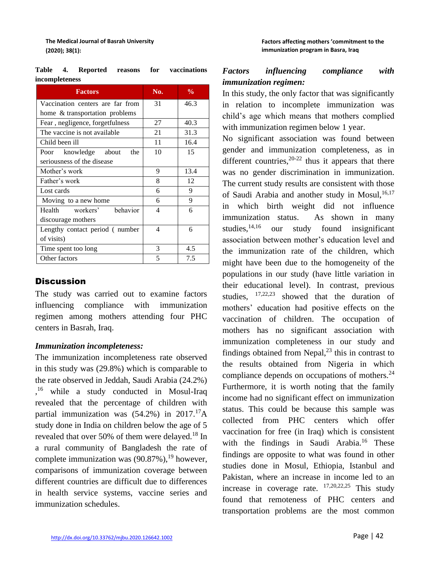| <b>Factors</b>                   | No. | $\frac{0}{0}$ |
|----------------------------------|-----|---------------|
| Vaccination centers are far from | 31  | 46.3          |
| home & transportation problems   |     |               |
| Fear, negligence, forgetfulness  | 27  | 40.3          |
| The vaccine is not available     | 21  | 31.3          |
| Child been ill                   | 11  | 16.4          |
| Poor knowledge about<br>the      | 10  | 15            |
| seriousness of the disease       |     |               |
| Mother's work                    | 9   | 13.4          |
| Father's work                    | 8   | 12            |
| Lost cards                       | 6   | 9             |
| Moving to a new home             | 6   | 9             |
| hehavior<br>Health workers'      | 4   | 6             |
| discourage mothers               |     |               |
| Lengthy contact period (number)  | 4   | 6             |
| of visits)                       |     |               |
| Time spent too long              | 3   | 4.5           |
| Other factors                    | 5   | 7.5           |

**Table 4. Reported reasons for vaccinations incompleteness**

## **Discussion**

The study was carried out to examine factors influencing compliance with immunization regimen among mothers attending four PHC centers in Basrah, Iraq.

#### *Immunization incompleteness:*

The immunization incompleteness rate observed in this study was (29.8%) which is comparable to the rate observed in Jeddah, Saudi Arabia (24.2%) <sup>16</sup> while a study conducted in Mosul-Iraq revealed that the percentage of children with partial immunization was  $(54.2%)$  in  $2017.<sup>17</sup>A$ study done in India on children below the age of 5 revealed that over 50% of them were delayed.<sup>18</sup> In a rural community of Bangladesh the rate of complete immunization was  $(90.87\%)$ ,<sup>19</sup> however, comparisons of immunization coverage between different countries are difficult due to differences in health service systems, vaccine series and immunization schedules.

## *Factors influencing compliance with immunization regimen:*

In this study, the only factor that was significantly in relation to incomplete immunization was child's age which means that mothers complied with immunization regimen below 1 year.

No significant association was found between gender and immunization completeness, as in different countries,  $20-22$  thus it appears that there was no gender discrimination in immunization. The current study results are consistent with those of Saudi Arabia and another study in Mosul,<sup>16,17</sup> in which birth weight did not influence immunization status. As shown in many studies,  $14,16$  our study found insignificant association between mother's education level and the immunization rate of the children, which might have been due to the homogeneity of the populations in our study (have little variation in their educational level). In contrast, previous studies,  $17,22,23$  showed that the duration of mothers' education had positive effects on the vaccination of children. The occupation of mothers has no significant association with immunization completeness in our study and findings obtained from Nepal, $^{23}$  this in contrast to the results obtained from Nigeria in which compliance depends on occupations of mothers.<sup>24</sup> Furthermore, it is worth noting that the family income had no significant effect on immunization status. This could be because this sample was collected from PHC centers which offer vaccination for free (in Iraq) which is consistent with the findings in Saudi Arabia.<sup>16</sup> These findings are opposite to what was found in other studies done in Mosul, Ethiopia, Istanbul and Pakistan, where an increase in income led to an increase in coverage rate.  $17,20,22,25$  This study found that remoteness of PHC centers and transportation problems are the most common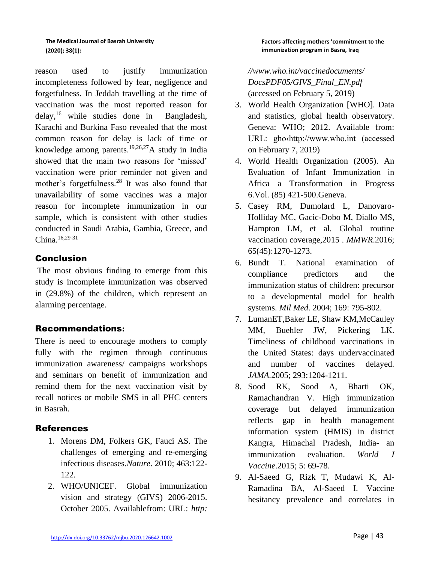reason used to justify immunization incompleteness followed by fear, negligence and forgetfulness. In Jeddah travelling at the time of vaccination was the most reported reason for delay,<sup>16</sup> while studies done in Bangladesh, Karachi and Burkina Faso revealed that the most common reason for delay is lack of time or knowledge among parents.<sup>19,26,27</sup>A study in India showed that the main two reasons for 'missed' vaccination were prior reminder not given and mother's forgetfulness.<sup>28</sup> It was also found that unavailability of some vaccines was a major reason for incomplete immunization in our sample, which is consistent with other studies conducted in Saudi Arabia, Gambia, Greece, and China.16,29-31

## Conclusion

The most obvious finding to emerge from this study is incomplete immunization was observed in (29.8%) of the children, which represent an alarming percentage.

## Recommendations**:**

There is need to encourage mothers to comply fully with the regimen through continuous immunization awareness/ campaigns workshops and seminars on benefit of immunization and remind them for the next vaccination visit by recall notices or mobile SMS in all PHC centers in Basrah.

## **References**

- 1. Morens DM, Folkers GK, Fauci AS. The challenges of emerging and re-emerging infectious diseases.*Nature*. 2010; 463:122- 122.
- 2. WHO/UNICEF. Global immunization vision and strategy (GIVS) 2006-2015. October 2005. Availablefrom: URL: *http:*

*//www.who.int/vaccinedocuments/ DocsPDF05/GIVS\_Final\_EN.pdf*  (accessed on February 5, 2019)

- 3. World Health Organization [WHO]. Data and statistics, global health observatory. Geneva: WHO; 2012. Available from: URL: gho‹http://www.who.int (accessed on February 7, 2019)
- 4. World Health Organization (2005). An Evaluation of Infant Immunization in Africa a Transformation in Progress 6.Vol. (85) 421-500.Geneva.
- 5. Casey RM, Dumolard L, Danovaro-Holliday MC, Gacic-Dobo M, Diallo MS, Hampton LM, et al. Global routine vaccination coverage,2015 . *MMWR*.2016; 65(45):1270-1273.
- 6. Bundt T. National examination of compliance predictors and the immunization status of children: precursor to a developmental model for health systems. *Mil Med*. 2004; 169: 795-802.
- 7. LumanET,Baker LE, Shaw KM,McCauley MM, Buehler JW, Pickering LK. Timeliness of childhood vaccinations in the United States: days undervaccinated and number of vaccines delayed. *JAMA.*2005; 293:1204-1211.
- 8. Sood RK, Sood A, Bharti OK, Ramachandran V. High immunization coverage but delayed immunization reflects gap in health management information system (HMIS) in district Kangra, Himachal Pradesh, India- an immunization evaluation. *World J Vaccine*.2015; 5: 69-78.
- 9. Al-Saeed G, Rizk T, Mudawi K, Al-Ramadina BA, Al-Saeed I. Vaccine hesitancy prevalence and correlates in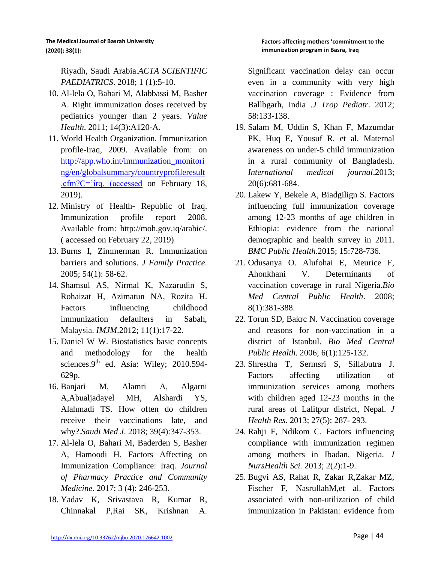Riyadh, Saudi Arabia.*ACTA SCIENTIFIC PAEDIATRICS*. 2018; 1 (1):5-10.

- 10. Al-lela O, Bahari M, Alabbassi M, Basher A. Right immunization doses received by pediatrics younger than 2 years. *Value Health*. 2011; 14(3):A120-A.
- 11. World Health Organization. Immunization profile-Iraq, 2009. Available from: on [http://app.who.int/immunization\\_monitori](http://app.who.int/immunization_monitoring/en/globalsummary/countryprofileresult.cfm?C=) [ng/en/globalsummary/countryprofileresult](http://app.who.int/immunization_monitoring/en/globalsummary/countryprofileresult.cfm?C=) [.cfm?C='irq. \(accessed](http://app.who.int/immunization_monitoring/en/globalsummary/countryprofileresult.cfm?C=) on February 18, 2019).
- 12. Ministry of Health- Republic of Iraq. Immunization profile report 2008. Available from: http://moh.gov.iq/arabic/. ( accessed on February 22, 2019)
- 13. Burns I, Zimmerman R. Immunization barriers and solutions. *J Family Practice*. 2005; 54(1): 58-62.
- 14. Shamsul AS, Nirmal K, Nazarudin S, Rohaizat H, Azimatun NA, Rozita H. Factors influencing childhood immunization defaulters in Sabah, Malaysia. *IMJM*.2012; 11(1):17-22.
- 15. Daniel W W. Biostatistics basic concepts and methodology for the health sciences.9<sup>th</sup> ed. Asia: Wiley; 2010.594-629p.
- 16. Banjari M, Alamri A, Algarni A,Abualjadayel MH, Alshardi YS, Alahmadi TS. How often do children receive their vaccinations late, and why?.*Saudi Med J*. 2018; 39(4):347-353.
- 17. Al-lela O, Bahari M, Baderden S, Basher A, Hamoodi H. Factors Affecting on Immunization Compliance: Iraq. *Journal of Pharmacy Practice and Community Medicine*. 2017; 3 (4): 246-253.
- 18. Yadav K, Srivastava R, Kumar R, Chinnakal P,Rai SK, Krishnan A.

Significant vaccination delay can occur even in a community with very high vaccination coverage : Evidence from Ballbgarh, India .*J Trop Pediatr*. 2012; 58:133-138.

- 19. Salam M, Uddin S, Khan F, Mazumdar PK, Huq E, Yousuf R, et al. Maternal awareness on under-5 child immunization in a rural community of Bangladesh. *International medical journal*.2013; 20(6):681-684.
- 20. Lakew Y, Bekele A, Biadgilign S. Factors influencing full immunization coverage among 12-23 months of age children in Ethiopia: evidence from the national demographic and health survey in 2011. *BMC Public Health*.2015; 15:728-736.
- 21. Odusanya O. Alufohai E, Meurice F, Ahonkhani V. Determinants of vaccination coverage in rural Nigeria.*Bio Med Central Public Health*. 2008; 8(1):381-388.
- 22. Torun SD, Bakrc N. Vaccination coverage and reasons for non-vaccination in a district of Istanbul. *Bio Med Central Public Health*. 2006; 6(1):125-132.
- 23. Shrestha T, Sermsri S, Sillabutra J. Factors affecting utilization of immunization services among mothers with children aged 12-23 months in the rural areas of Lalitpur district, Nepal. *J Health Res.* 2013; 27(5): 287- 293.
- 24. Rahji F, Ndikom C. Factors influencing compliance with immunization regimen among mothers in Ibadan, Nigeria. *J NursHealth Sci.* 2013; 2(2):1-9.
- 25. Bugvi AS, Rahat R, Zakar R,Zakar MZ, Fischer F, NasrullahM,et al. Factors associated with non-utilization of child immunization in Pakistan: evidence from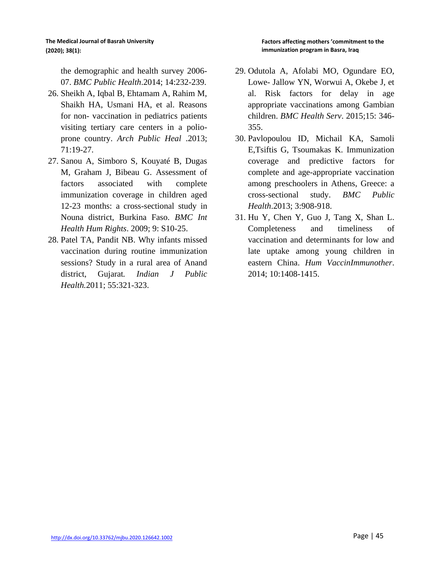the demographic and health survey 2006- 07. *BMC Public Health*.2014; 14:232-239.

- 26. Sheikh A, Iqbal B, Ehtamam A, Rahim M, Shaikh HA, Usmani HA, et al. Reasons for non- vaccination in pediatrics patients visiting tertiary care centers in a polioprone country. *Arch Public Heal* .2013; 71:19-27.
- 27. Sanou A, Simboro S, Kouyaté B, Dugas M, Graham J, Bibeau G. Assessment of factors associated with complete immunization coverage in children aged 12-23 months: a cross-sectional study in Nouna district, Burkina Faso. *BMC Int Health Hum Rights*. 2009; 9: S10-25.
- 28. Patel TA, Pandit NB. Why infants missed vaccination during routine immunization sessions? Study in a rural area of Anand district, Gujarat*. Indian J Public Health.*2011; 55:321-323.
- 29. Odutola A, Afolabi MO, Ogundare EO, Lowe- Jallow YN, Worwui A, Okebe J, et al. Risk factors for delay in age appropriate vaccinations among Gambian children. *BMC Health Serv*. 2015;15: 346- 355.
- 30. Pavlopoulou ID, Michail KA, Samoli E,Tsiftis G, Tsoumakas K. Immunization coverage and predictive factors for complete and age-appropriate vaccination among preschoolers in Athens, Greece: a cross-sectional study. *BMC Public Health*.2013; 3:908-918.
- 31. Hu Y, Chen Y, Guo J, Tang X, Shan L. Completeness and timeliness of vaccination and determinants for low and late uptake among young children in eastern China. *Hum VaccinImmunother*. 2014; 10:1408-1415.